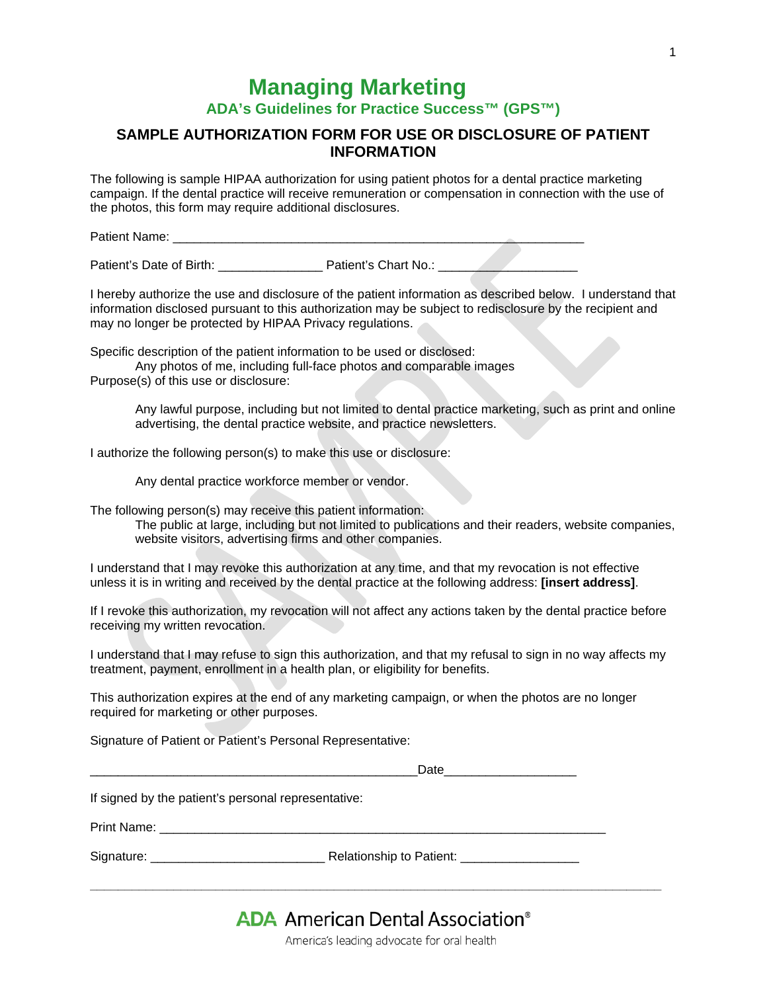## **Managing Marketing**

**ADA's Guidelines for Practice Success™ (GPS™)**

## **SAMPLE AUTHORIZATION FORM FOR USE OR DISCLOSURE OF PATIENT INFORMATION**

The following is sample HIPAA authorization for using patient photos for a dental practice marketing campaign. If the dental practice will receive remuneration or compensation in connection with the use of the photos, this form may require additional disclosures.

Patient Name:

Patient's Date of Birth: <br>Patient's Chart No.:

I hereby authorize the use and disclosure of the patient information as described below. I understand that information disclosed pursuant to this authorization may be subject to redisclosure by the recipient and may no longer be protected by HIPAA Privacy regulations.

Specific description of the patient information to be used or disclosed:

Any photos of me, including full-face photos and comparable images Purpose(s) of this use or disclosure:

> Any lawful purpose, including but not limited to dental practice marketing, such as print and online advertising, the dental practice website, and practice newsletters.

I authorize the following person(s) to make this use or disclosure:

Any dental practice workforce member or vendor.

The following person(s) may receive this patient information:

The public at large, including but not limited to publications and their readers, website companies, website visitors, advertising firms and other companies.

I understand that I may revoke this authorization at any time, and that my revocation is not effective unless it is in writing and received by the dental practice at the following address: **[insert address]**.

If I revoke this authorization, my revocation will not affect any actions taken by the dental practice before receiving my written revocation.

I understand that I may refuse to sign this authorization, and that my refusal to sign in no way affects my treatment, payment, enrollment in a health plan, or eligibility for benefits.

This authorization expires at the end of any marketing campaign, or when the photos are no longer required for marketing or other purposes.

Signature of Patient or Patient's Personal Representative:

| If signed by the patient's personal representative: |  |
|-----------------------------------------------------|--|
|                                                     |  |
|                                                     |  |

## **ADA** American Dental Association<sup>®</sup>

**\_\_\_\_\_\_\_\_\_\_\_\_\_\_\_\_\_\_\_\_\_\_\_\_\_\_\_\_\_\_\_\_\_\_\_\_\_\_\_\_\_\_\_\_\_\_\_\_\_\_\_\_\_\_\_\_\_\_\_\_\_\_\_\_\_\_\_\_\_\_\_\_\_\_\_\_\_\_\_\_\_\_**

America's leading advocate for oral health